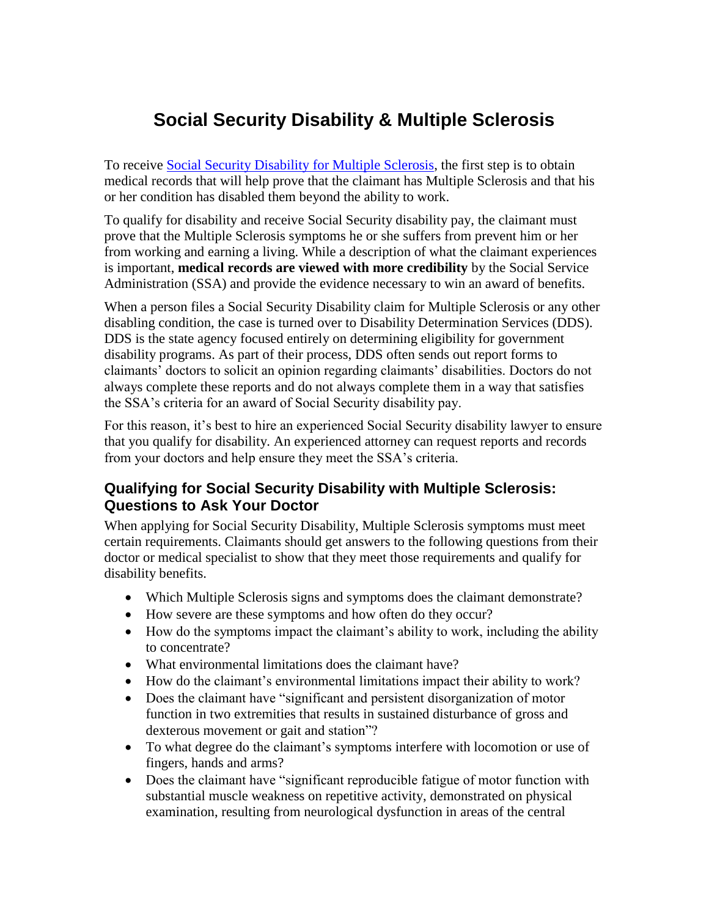## **Social Security Disability & Multiple Sclerosis**

To receive [Social Security Disability for Multiple Sclerosis,](http://usadisabilitylaw.com/disability-lawyers-illinois/) the first step is to obtain medical records that will help prove that the claimant has Multiple Sclerosis and that his or her condition has disabled them beyond the ability to work.

To qualify for disability and receive Social Security disability pay, the claimant must prove that the Multiple Sclerosis symptoms he or she suffers from prevent him or her from working and earning a living. While a description of what the claimant experiences is important, **medical records are viewed with more credibility** by the Social Service Administration (SSA) and provide the evidence necessary to win an award of benefits.

When a person files a Social Security Disability claim for Multiple Sclerosis or any other disabling condition, the case is turned over to Disability Determination Services (DDS). DDS is the state agency focused entirely on determining eligibility for government disability programs. As part of their process, DDS often sends out report forms to claimants' doctors to solicit an opinion regarding claimants' disabilities. Doctors do not always complete these reports and do not always complete them in a way that satisfies the SSA's criteria for an award of Social Security disability pay.

For this reason, it's best to hire an experienced Social Security disability lawyer to ensure that you qualify for disability. An experienced attorney can request reports and records from your doctors and help ensure they meet the SSA's criteria.

## **Qualifying for Social Security Disability with Multiple Sclerosis: Questions to Ask Your Doctor**

When applying for Social Security Disability, Multiple Sclerosis symptoms must meet certain requirements. Claimants should get answers to the following questions from their doctor or medical specialist to show that they meet those requirements and qualify for disability benefits.

- Which Multiple Sclerosis signs and symptoms does the claimant demonstrate?
- How severe are these symptoms and how often do they occur?
- How do the symptoms impact the claimant's ability to work, including the ability to concentrate?
- What environmental limitations does the claimant have?
- How do the claimant's environmental limitations impact their ability to work?
- Does the claimant have "significant and persistent disorganization of motor function in two extremities that results in sustained disturbance of gross and dexterous movement or gait and station"?
- To what degree do the claimant's symptoms interfere with locomotion or use of fingers, hands and arms?
- Does the claimant have "significant reproducible fatigue of motor function with substantial muscle weakness on repetitive activity, demonstrated on physical examination, resulting from neurological dysfunction in areas of the central